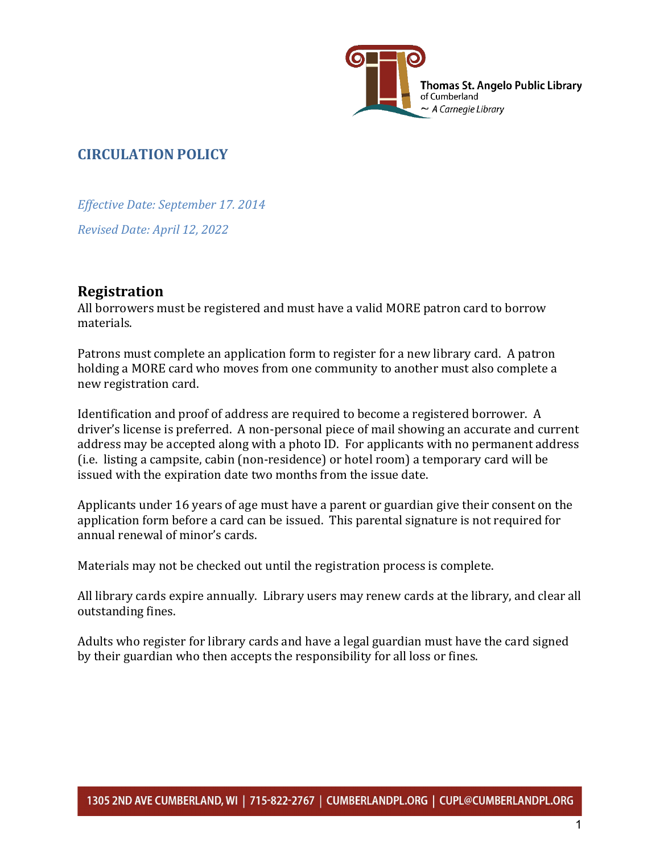

# **CIRCULATION POLICY**

*Effective Date: September 17. 2014* 

*Revised Date: April 12, 2022*

# **Registration**

All borrowers must be registered and must have a valid MORE patron card to borrow materials.

Patrons must complete an application form to register for a new library card. A patron holding a MORE card who moves from one community to another must also complete a new registration card.

Identification and proof of address are required to become a registered borrower. A driver's license is preferred. A non-personal piece of mail showing an accurate and current address may be accepted along with a photo ID. For applicants with no permanent address (i.e. listing a campsite, cabin (non-residence) or hotel room) a temporary card will be issued with the expiration date two months from the issue date.

Applicants under 16 years of age must have a parent or guardian give their consent on the application form before a card can be issued. This parental signature is not required for annual renewal of minor's cards.

Materials may not be checked out until the registration process is complete.

All library cards expire annually. Library users may renew cards at the library, and clear all outstanding fines.

Adults who register for library cards and have a legal guardian must have the card signed by their guardian who then accepts the responsibility for all loss or fines.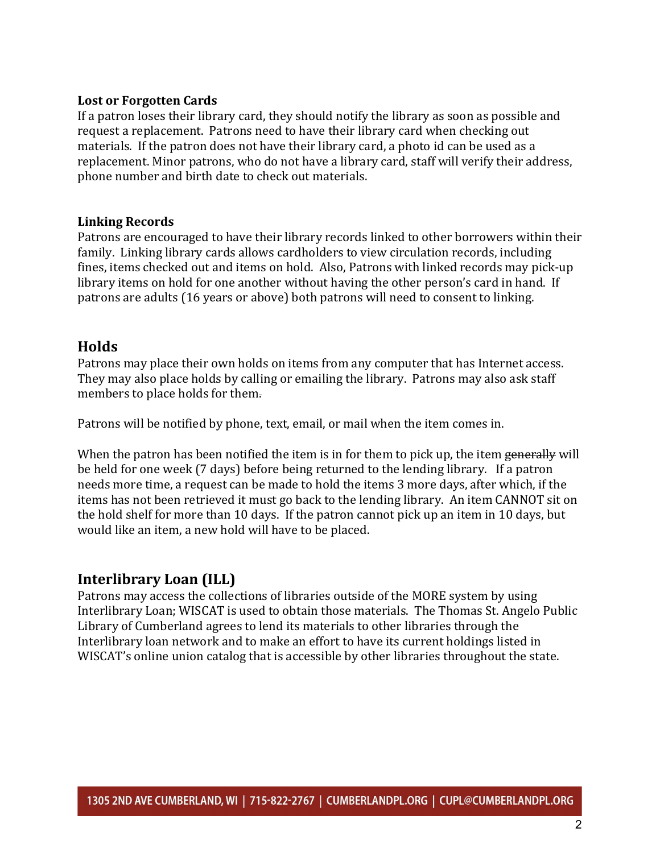#### **Lost or Forgotten Cards**

If a patron loses their library card, they should notify the library as soon as possible and request a replacement. Patrons need to have their library card when checking out materials. If the patron does not have their library card, a photo id can be used as a replacement. Minor patrons, who do not have a library card, staff will verify their address, phone number and birth date to check out materials.

#### **Linking Records**

Patrons are encouraged to have their library records linked to other borrowers within their family. Linking library cards allows cardholders to view circulation records, including fines, items checked out and items on hold. Also, Patrons with linked records may pick-up library items on hold for one another without having the other person's card in hand. If patrons are adults (16 years or above) both patrons will need to consent to linking.

### **Holds**

Patrons may place their own holds on items from any computer that has Internet access. They may also place holds by calling or emailing the library. Patrons may also ask staff members to place holds for them.

Patrons will be notified by phone, text, email, or mail when the item comes in.

When the patron has been notified the item is in for them to pick up, the item generally will be held for one week (7 days) before being returned to the lending library. If a patron needs more time, a request can be made to hold the items 3 more days, after which, if the items has not been retrieved it must go back to the lending library. An item CANNOT sit on the hold shelf for more than 10 days. If the patron cannot pick up an item in 10 days, but would like an item, a new hold will have to be placed.

### **Interlibrary Loan (ILL)**

Patrons may access the collections of libraries outside of the MORE system by using Interlibrary Loan; WISCAT is used to obtain those materials. The Thomas St. Angelo Public Library of Cumberland agrees to lend its materials to other libraries through the Interlibrary loan network and to make an effort to have its current holdings listed in WISCAT's online union catalog that is accessible by other libraries throughout the state.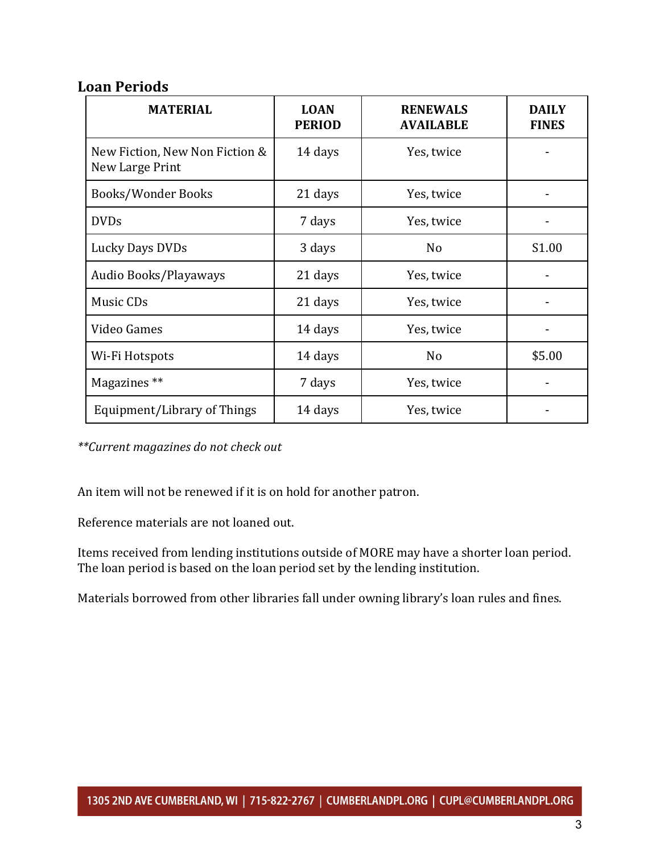## **Loan Periods**

| <b>MATERIAL</b>                                   | <b>LOAN</b><br><b>PERIOD</b> | <b>RENEWALS</b><br><b>AVAILABLE</b> | <b>DAILY</b><br><b>FINES</b> |
|---------------------------------------------------|------------------------------|-------------------------------------|------------------------------|
| New Fiction, New Non Fiction &<br>New Large Print | 14 days                      | Yes, twice                          |                              |
| Books/Wonder Books                                | 21 days                      | Yes, twice                          |                              |
| <b>DVDs</b>                                       | 7 days                       | Yes, twice                          |                              |
| Lucky Days DVDs                                   | 3 days                       | N <sub>o</sub>                      | S <sub>1.00</sub>            |
| Audio Books/Playaways                             | 21 days                      | Yes, twice                          |                              |
| Music CDs                                         | 21 days                      | Yes, twice                          |                              |
| Video Games                                       | 14 days                      | Yes, twice                          |                              |
| Wi-Fi Hotspots                                    | 14 days                      | No                                  | \$5.00                       |
| Magazines **                                      | 7 days                       | Yes, twice                          |                              |
| Equipment/Library of Things                       | 14 days                      | Yes, twice                          |                              |

*\*\*Current magazines do not check out*

An item will not be renewed if it is on hold for another patron.

Reference materials are not loaned out.

Items received from lending institutions outside of MORE may have a shorter loan period. The loan period is based on the loan period set by the lending institution.

Materials borrowed from other libraries fall under owning library's loan rules and fines.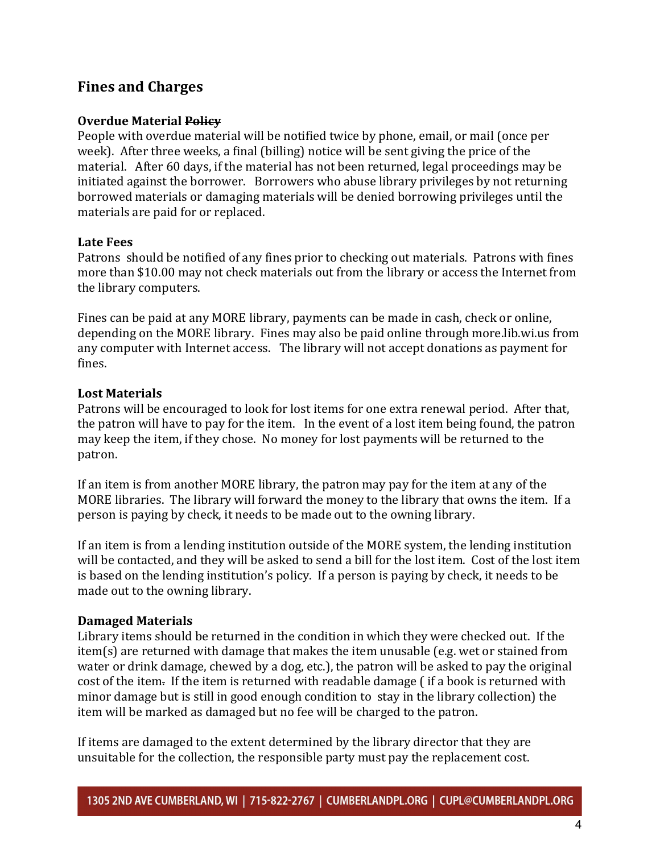# **Fines and Charges**

### **Overdue Material Policy**

People with overdue material will be notified twice by phone, email, or mail (once per week). After three weeks, a final (billing) notice will be sent giving the price of the material. After 60 days, if the material has not been returned, legal proceedings may be initiated against the borrower. Borrowers who abuse library privileges by not returning borrowed materials or damaging materials will be denied borrowing privileges until the materials are paid for or replaced.

### **Late Fees**

Patrons should be notified of any fines prior to checking out materials. Patrons with fines more than \$10.00 may not check materials out from the library or access the Internet from the library computers.

Fines can be paid at any MORE library, payments can be made in cash, check or online, depending on the MORE library. Fines may also be paid online through more.lib.wi.us from any computer with Internet access. The library will not accept donations as payment for fines.

### **Lost Materials**

Patrons will be encouraged to look for lost items for one extra renewal period. After that, the patron will have to pay for the item. In the event of a lost item being found, the patron may keep the item, if they chose. No money for lost payments will be returned to the patron.

If an item is from another MORE library, the patron may pay for the item at any of the MORE libraries. The library will forward the money to the library that owns the item. If a person is paying by check, it needs to be made out to the owning library.

If an item is from a lending institution outside of the MORE system, the lending institution will be contacted, and they will be asked to send a bill for the lost item. Cost of the lost item is based on the lending institution's policy. If a person is paying by check, it needs to be made out to the owning library.

### **Damaged Materials**

Library items should be returned in the condition in which they were checked out. If the item(s) are returned with damage that makes the item unusable (e.g. wet or stained from water or drink damage, chewed by a dog, etc.), the patron will be asked to pay the original cost of the item. If the item is returned with readable damage ( if a book is returned with minor damage but is still in good enough condition to stay in the library collection) the item will be marked as damaged but no fee will be charged to the patron.

If items are damaged to the extent determined by the library director that they are unsuitable for the collection, the responsible party must pay the replacement cost.